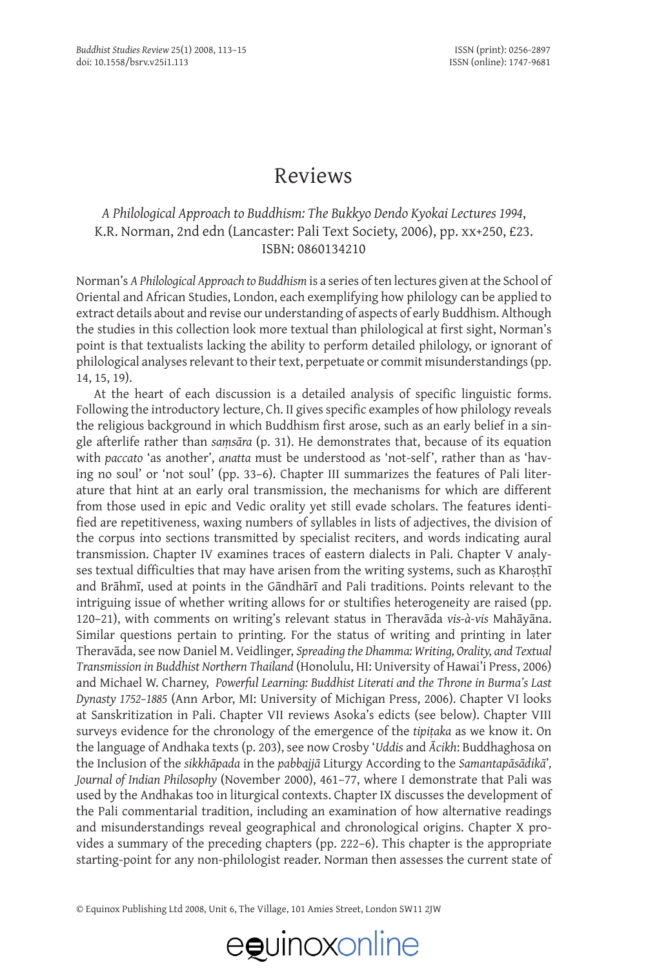### Reviews

#### *A Philological Approach to Buddhism: The Bukkyo Dendo Kyokai Lectures 1994*, K.R. Norman, 2nd edn (Lancaster: Pali Text Society, 2006), pp. xx+250, £23. ISBN: 0860134210

Norman's *A Philological Approach to Buddhism* is a series of ten lectures given at the School of Oriental and African Studies, London, each exemplifying how philology can be applied to extract details about and revise our understanding of aspects of early Buddhism. Although the studies in this collection look more textual than philological at first sight, Norman's point is that textualists lacking the ability to perform detailed philology, or ignorant of philological analyses relevant to their text, perpetuate or commit misunderstandings (pp. 14, 15, 19).

At the heart of each discussion is a detailed analysis of specific linguistic forms. Following the introductory lecture, Ch. II gives specific examples of how philology reveals the religious background in which Buddhism first arose, such as an early belief in a single afterlife rather than *saṃsāra* (p. 31). He demonstrates that, because of its equation with *paccato* 'as another', *anatta* must be understood as 'not-self', rather than as 'having no soul' or 'not soul' (pp. 33–6). Chapter III summarizes the features of Pali literature that hint at an early oral transmission, the mechanisms for which are different from those used in epic and Vedic orality yet still evade scholars. The features identified are repetitiveness, waxing numbers of syllables in lists of adjectives, the division of the corpus into sections transmitted by specialist reciters, and words indicating aural transmission. Chapter IV examines traces of eastern dialects in Pali. Chapter V analyses textual difficulties that may have arisen from the writing systems, such as Kharosthī and Brāhmī, used at points in the Gāndhārī and Pali traditions. Points relevant to the intriguing issue of whether writing allows for or stultifies heterogeneity are raised (pp. 120–21), with comments on writing's relevant status in Theravāda *vis-à-vis* Mahāyāna. Similar questions pertain to printing. For the status of writing and printing in later Theravāda, see now Daniel M. Veidlinger, *Spreading the Dhamma: Writing, Orality, and Textual Transmission in Buddhist Northern Thailand* (Honolulu, HI: University of Hawai'i Press, 2006) and Michael W. Charney, *Powerful Learning: Buddhist Literati and the Throne in Burma's Last Dynasty 1752–1885* (Ann Arbor, MI: University of Michigan Press, 2006). Chapter VI looks at Sanskritization in Pali. Chapter VII reviews Asoka's edicts (see below). Chapter VIII surveys evidence for the chronology of the emergence of the *tipiṭaka* as we know it. On the language of Andhaka texts (p. 203), see now Crosby '*Uddis* and *Ācikh*: Buddhaghosa on the Inclusion of the *sikkhāpada* in the *pabbajjā* Liturgy According to the *Samantapāsādikā*'*, Journal of Indian Philosophy* (November 2000), 461–77, where I demonstrate that Pali was used by the Andhakas too in liturgical contexts. Chapter IX discusses the development of the Pali commentarial tradition, including an examination of how alternative readings and misunderstandings reveal geographical and chronological origins. Chapter X provides a summary of the preceding chapters (pp. 222–6). This chapter is the appropriate starting-point for any non-philologist reader. Norman then assesses the current state of

© Equinox Publishing Ltd 2008, Unit 6, The Village, 101 Amies Street, London SW11 2JW

# eguinoxonline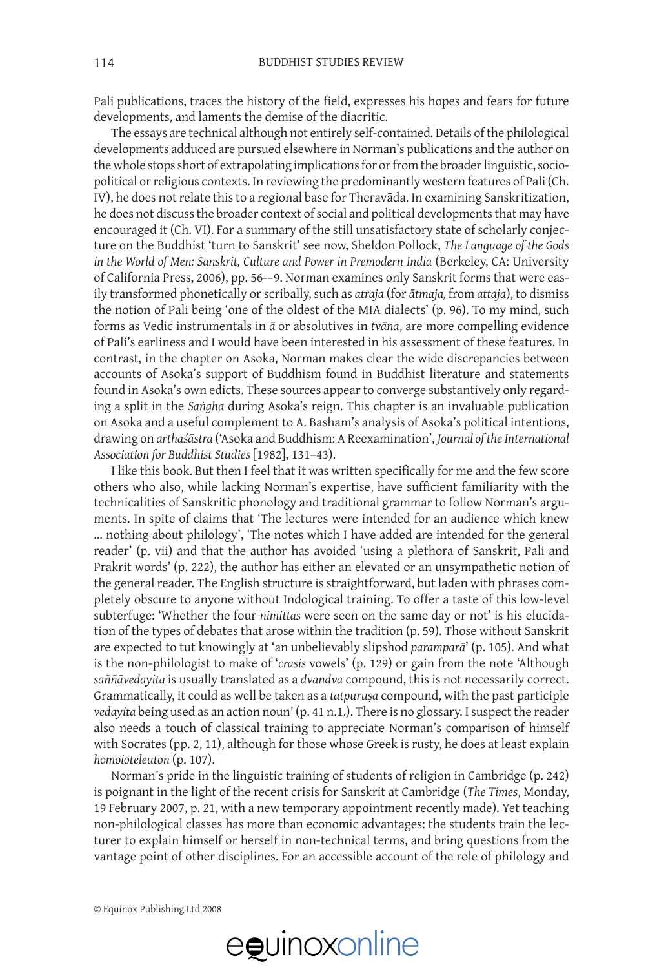Pali publications, traces the history of the field, expresses his hopes and fears for future developments, and laments the demise of the diacritic.

The essays are technical although not entirely self-contained. Details of the philological developments adduced are pursued elsewhere in Norman's publications and the author on the whole stops short of extrapolating implications for or from the broader linguistic, sociopolitical or religious contexts. In reviewing the predominantly western features of Pali (Ch. IV), he does not relate this to a regional base for Theravāda. In examining Sanskritization, he does not discuss the broader context of social and political developments that may have encouraged it (Ch. VI). For a summary of the still unsatisfactory state of scholarly conjecture on the Buddhist 'turn to Sanskrit' see now, Sheldon Pollock, *The Language of the Gods in the World of Men: Sanskrit, Culture and Power in Premodern India* (Berkeley, CA: University of California Press, 2006), pp. 56-–9. Norman examines only Sanskrit forms that were easily transformed phonetically or scribally, such as *atraja* (for *ātmaja,* from *attaja*), to dismiss the notion of Pali being 'one of the oldest of the MIA dialects' (p. 96). To my mind, such forms as Vedic instrumentals in *ā* or absolutives in *tvāna*, are more compelling evidence of Pali's earliness and I would have been interested in his assessment of these features. In contrast, in the chapter on Asoka, Norman makes clear the wide discrepancies between accounts of Asoka's support of Buddhism found in Buddhist literature and statements found in Asoka's own edicts. These sources appear to converge substantively only regarding a split in the *Saṅgha* during Asoka's reign. This chapter is an invaluable publication on Asoka and a useful complement to A. Basham's analysis of Asoka's political intentions, drawing on *arthaśāstra* ('Asoka and Buddhism: A Reexamination', *Journal of the International Association for Buddhist Studies* [1982], 131–43).

I like this book. But then I feel that it was written specifically for me and the few score others who also, while lacking Norman's expertise, have sufficient familiarity with the technicalities of Sanskritic phonology and traditional grammar to follow Norman's arguments. In spite of claims that 'The lectures were intended for an audience which knew … nothing about philology', 'The notes which I have added are intended for the general reader' (p. vii) and that the author has avoided 'using a plethora of Sanskrit, Pali and Prakrit words' (p. 222), the author has either an elevated or an unsympathetic notion of the general reader. The English structure is straightforward, but laden with phrases completely obscure to anyone without Indological training. To offer a taste of this low-level subterfuge: 'Whether the four *nimittas* were seen on the same day or not' is his elucidation of the types of debates that arose within the tradition (p. 59). Those without Sanskrit are expected to tut knowingly at 'an unbelievably slipshod *paramparā*' (p. 105). And what is the non-philologist to make of '*crasis* vowels' (p. 129) or gain from the note 'Although *saññāvedayita* is usually translated as a *dvandva* compound, this is not necessarily correct. Grammatically, it could as well be taken as a *tatpuruṣa* compound, with the past participle *vedayita* being used as an action noun' (p. 41 n.1.). There is no glossary. I suspect the reader also needs a touch of classical training to appreciate Norman's comparison of himself with Socrates (pp. 2, 11), although for those whose Greek is rusty, he does at least explain *homoioteleuton* (p. 107).

Norman's pride in the linguistic training of students of religion in Cambridge (p. 242) is poignant in the light of the recent crisis for Sanskrit at Cambridge (*The Times*, Monday, 19 February 2007, p. 21, with a new temporary appointment recently made). Yet teaching non-philological classes has more than economic advantages: the students train the lecturer to explain himself or herself in non-technical terms, and bring questions from the vantage point of other disciplines. For an accessible account of the role of philology and

© Equinox Publishing Ltd 2008